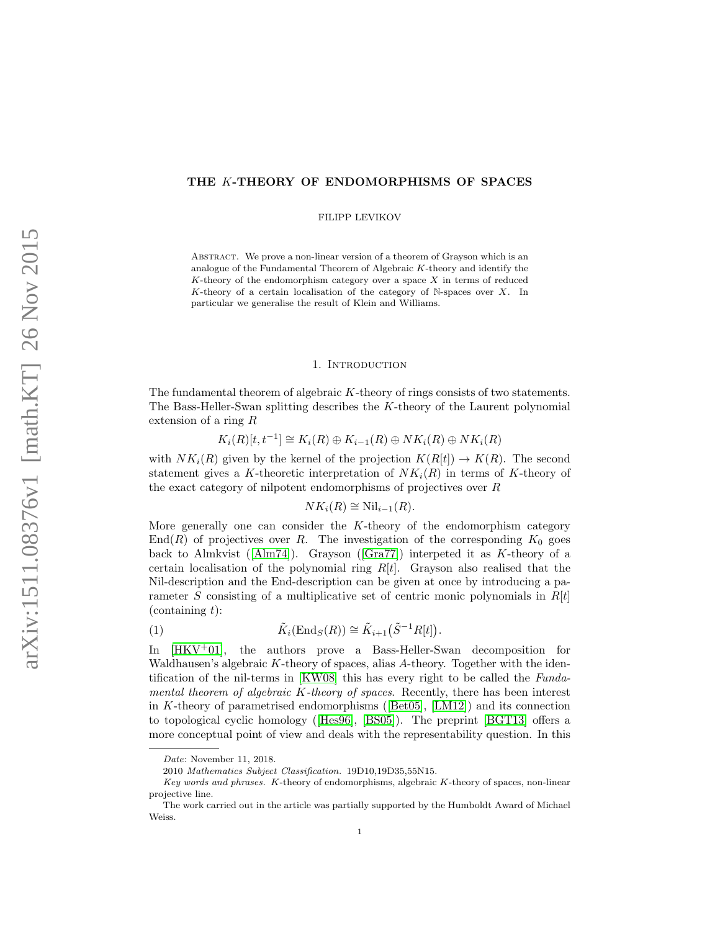## THE K-THEORY OF ENDOMORPHISMS OF SPACES

FILIPP LEVIKOV

ABSTRACT. We prove a non-linear version of a theorem of Grayson which is an analogue of the Fundamental Theorem of Algebraic K-theory and identify the K-theory of the endomorphism category over a space  $X$  in terms of reduced K-theory of a certain localisation of the category of N-spaces over  $X$ . In particular we generalise the result of Klein and Williams.

### 1. INTRODUCTION

The fundamental theorem of algebraic K-theory of rings consists of two statements. The Bass-Heller-Swan splitting describes the K-theory of the Laurent polynomial extension of a ring R

$$
K_i(R)[t, t^{-1}] \cong K_i(R) \oplus K_{i-1}(R) \oplus NK_i(R) \oplus NK_i(R)
$$

with  $NK_i(R)$  given by the kernel of the projection  $K(R[t]) \to K(R)$ . The second statement gives a K-theoretic interpretation of  $NK_i(R)$  in terms of K-theory of the exact category of nilpotent endomorphisms of projectives over R

<span id="page-0-0"></span>
$$
NK_i(R) \cong \text{Nil}_{i-1}(R).
$$

More generally one can consider the K-theory of the endomorphism category  $\text{End}(R)$  of projectives over R. The investigation of the corresponding  $K_0$  goes backto Almkvist ( $\text{[Alm74]}$  $\text{[Alm74]}$  $\text{[Alm74]}$ ). Grayson ( $\text{[Gra77]}$  $\text{[Gra77]}$  $\text{[Gra77]}$ ) interpeted it as K-theory of a certain localisation of the polynomial ring  $R[t]$ . Grayson also realised that the Nil-description and the End-description can be given at once by introducing a parameter S consisting of a multiplicative set of centric monic polynomials in  $R[t]$  $(containing t)$ :

(1) 
$$
\tilde{K}_i(\text{End}_S(R)) \cong \tilde{K}_{i+1}(\tilde{S}^{-1}R[t]).
$$

In [\[HKV](#page-13-2)<sup>+</sup>01], the authors prove a Bass-Heller-Swan decomposition for Waldhausen's algebraic  $K$ -theory of spaces, alias  $A$ -theory. Together with the identification of the nil-terms in [\[KW08\]](#page-13-3) this has every right to be called the Fundamental theorem of algebraic  $K$ -theory of spaces. Recently, there has been interest in K-theory of parametrised endomorphisms([\[Bet05\]](#page-13-4), [\[LM12\]](#page-13-5)) and its connection to topological cyclic homology([\[Hes96\]](#page-13-6), [\[BS05\]](#page-13-7)). The preprint [\[BGT13\]](#page-13-8) offers a more conceptual point of view and deals with the representability question. In this

Date: November 11, 2018.

<sup>2010</sup> Mathematics Subject Classification. 19D10,19D35,55N15.

Key words and phrases. K-theory of endomorphisms, algebraic K-theory of spaces, non-linear projective line.

The work carried out in the article was partially supported by the Humboldt Award of Michael Weiss.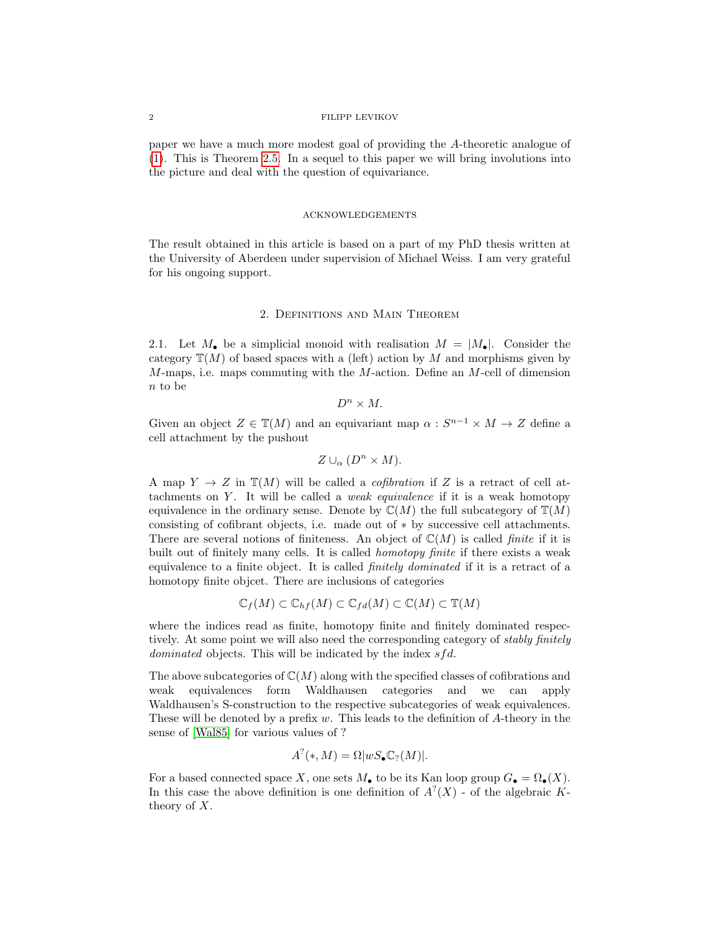#### 2 FILIPP LEVIKOV

paper we have a much more modest goal of providing the A-theoretic analogue of [\(1\)](#page-0-0). This is Theorem [2.5.](#page-4-0) In a sequel to this paper we will bring involutions into the picture and deal with the question of equivariance.

#### **ACKNOWLEDGEMENTS**

The result obtained in this article is based on a part of my PhD thesis written at the University of Aberdeen under supervision of Michael Weiss. I am very grateful for his ongoing support.

## 2. Definitions and Main Theorem

2.1. Let  $M_{\bullet}$  be a simplicial monoid with realisation  $M = |M_{\bullet}|$ . Consider the category  $\mathbb{T}(M)$  of based spaces with a (left) action by M and morphisms given by  $M$ -maps, i.e. maps commuting with the  $M$ -action. Define an  $M$ -cell of dimension n to be

$$
D^n\times M.
$$

Given an object  $Z \in \mathbb{T}(M)$  and an equivariant map  $\alpha : S^{n-1} \times M \to Z$  define a cell attachment by the pushout

$$
Z \cup_{\alpha} (D^n \times M).
$$

A map  $Y \to Z$  in  $\mathbb{T}(M)$  will be called a *cofibration* if Z is a retract of cell attachments on  $Y$ . It will be called a *weak equivalence* if it is a weak homotopy equivalence in the ordinary sense. Denote by  $\mathbb{C}(M)$  the full subcategory of  $\mathbb{T}(M)$ consisting of cofibrant objects, i.e. made out of ∗ by successive cell attachments. There are several notions of finiteness. An object of  $\mathbb{C}(M)$  is called *finite* if it is built out of finitely many cells. It is called homotopy finite if there exists a weak equivalence to a finite object. It is called *finitely dominated* if it is a retract of a homotopy finite objcet. There are inclusions of categories

$$
\mathbb{C}_f(M) \subset \mathbb{C}_{hf}(M) \subset \mathbb{C}_{fd}(M) \subset \mathbb{C}(M) \subset \mathbb{T}(M)
$$

where the indices read as finite, homotopy finite and finitely dominated respectively. At some point we will also need the corresponding category of *stably finitely dominated* objects. This will be indicated by the index  $sfd$ .

The above subcategories of  $\mathbb{C}(M)$  along with the specified classes of cofibrations and weak equivalences form Waldhausen categories and we can apply Waldhausen's S-construction to the respective subcategories of weak equivalences. These will be denoted by a prefix  $w$ . This leads to the definition of  $A$ -theory in the sense of [\[Wal85\]](#page-13-9) for various values of ?

$$
A^?(*,M) = \Omega |wS_{\bullet} \mathbb{C}_? (M)|.
$$

For a based connected space X, one sets  $M_{\bullet}$  to be its Kan loop group  $G_{\bullet} = \Omega_{\bullet}(X)$ . In this case the above definition is one definition of  $A^?$  (X) - of the algebraic Ktheory of X.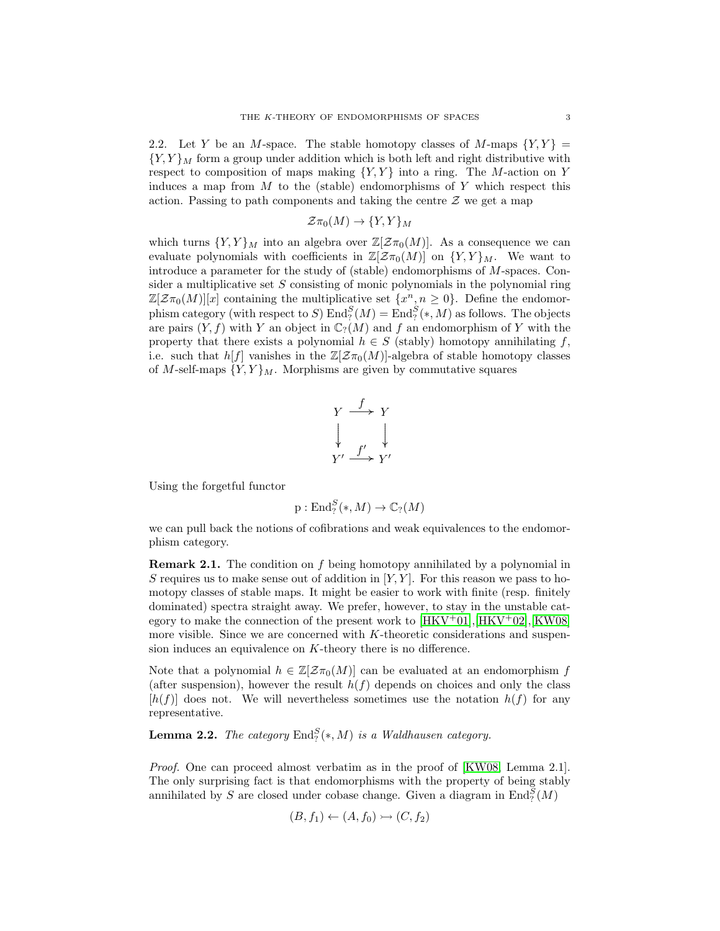2.2. Let Y be an M-space. The stable homotopy classes of M-maps  ${Y, Y}$  =  ${Y,Y}_M$  form a group under addition which is both left and right distributive with respect to composition of maps making  ${Y, Y}$  into a ring. The M-action on Y induces a map from  $M$  to the (stable) endomorphisms of  $Y$  which respect this action. Passing to path components and taking the centre  $\mathcal Z$  we get a map

$$
\mathcal{Z}\pi_0(M)\to \{Y,Y\}_M
$$

which turns  $\{Y, Y\}_M$  into an algebra over  $\mathbb{Z}[\mathcal{Z}_{\pi_0}(M)]$ . As a consequence we can evaluate polynomials with coefficients in  $\mathbb{Z}[\mathcal{Z}_{\pi_0}(M)]$  on  $\{Y,Y\}_M$ . We want to introduce a parameter for the study of (stable) endomorphisms of M-spaces. Consider a multiplicative set  $S$  consisting of monic polynomials in the polynomial ring  $\mathbb{Z}[\mathcal{Z}\pi_0(M)][x]$  containing the multiplicative set  $\{x^n, n \geq 0\}$ . Define the endomorphism category (with respect to S)  $\text{End}_?^S(M) = \text{End}_?^S(*, M)$  as follows. The objects are pairs  $(Y, f)$  with Y an object in  $\mathbb{C}_?(M)$  and f an endomorphism of Y with the property that there exists a polynomial  $h \in S$  (stably) homotopy annihilating f, i.e. such that  $h[f]$  vanishes in the  $\mathbb{Z}[\mathcal{Z}_{\pi_0}(M)]$ -algebra of stable homotopy classes of M-self-maps  ${Y, Y}_M$ . Morphisms are given by commutative squares

$$
\begin{array}{ccc}\nY & \xrightarrow{f} & Y \\
\downarrow & & \downarrow \\
Y' & \xrightarrow{f'} & Y'\n\end{array}
$$

Using the forgetful functor

$$
p: \mathrm{End}_?^S(*,M) \to \mathbb{C}_? (M)
$$

we can pull back the notions of cofibrations and weak equivalences to the endomorphism category.

Remark 2.1. The condition on f being homotopy annihilated by a polynomial in S requires us to make sense out of addition in  $[Y, Y]$ . For this reason we pass to homotopy classes of stable maps. It might be easier to work with finite (resp. finitely dominated) spectra straight away. We prefer, however, to stay in the unstable category to make the connection of the present work to  $[HKV^+01], [HKV^+02], [KW08]$  $[HKV^+01], [HKV^+02], [KW08]$  $[HKV^+01], [HKV^+02], [KW08]$  $[HKV^+01], [HKV^+02], [KW08]$ more visible. Since we are concerned with K-theoretic considerations and suspension induces an equivalence on K-theory there is no difference.

Note that a polynomial  $h \in \mathbb{Z}[\mathcal{Z}_{\pi_0}(M)]$  can be evaluated at an endomorphism f (after suspension), however the result  $h(f)$  depends on choices and only the class  $[h(f)]$  does not. We will nevertheless sometimes use the notation  $h(f)$  for any representative.

**Lemma 2.2.** The category  $\text{End}_?^S(*, M)$  is a Waldhausen category.

Proof. One can proceed almost verbatim as in the proof of [\[KW08,](#page-13-3) Lemma 2.1]. The only surprising fact is that endomorphisms with the property of being stably annihilated by S are closed under cobase change. Given a diagram in  $\text{End}_{?}^S(M)$ 

$$
(B, f_1) \leftarrow (A, f_0) \rightarrowtail (C, f_2)
$$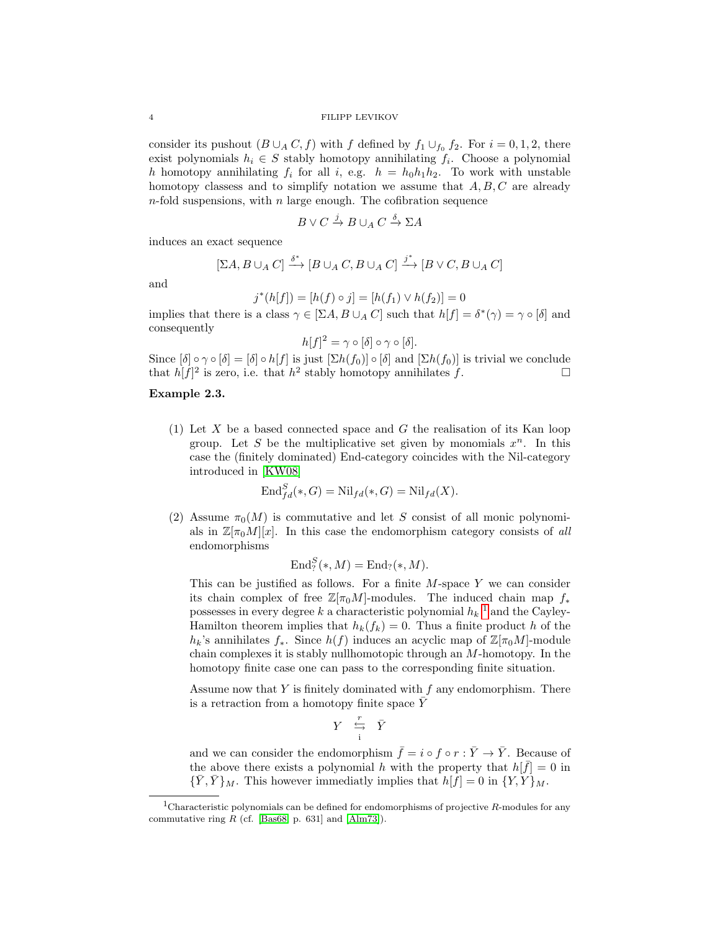#### 4 FILIPP LEVIKOV

consider its pushout  $(B \cup_A C, f)$  with f defined by  $f_1 \cup_{f_0} f_2$ . For  $i = 0, 1, 2$ , there exist polynomials  $h_i \in S$  stably homotopy annihilating  $f_i$ . Choose a polynomial h homotopy annihilating  $f_i$  for all i, e.g.  $h = h_0 h_1 h_2$ . To work with unstable homotopy classess and to simplify notation we assume that  $A, B, C$  are already  $n$ -fold suspensions, with  $n$  large enough. The cofibration sequence

$$
B \vee C \xrightarrow{j} B \cup_A C \xrightarrow{\delta} \Sigma A
$$

induces an exact sequence

$$
[\Sigma A, B \cup_A C] \xrightarrow{\delta^*} [B \cup_A C, B \cup_A C] \xrightarrow{j^*} [B \vee C, B \cup_A C]
$$

and

$$
j^*(h[f]) = [h(f) \circ j] = [h(f_1) \vee h(f_2)] = 0
$$

implies that there is a class  $\gamma \in [\Sigma A, B \cup_A C]$  such that  $h[f] = \delta^*(\gamma) = \gamma \circ [\delta]$  and consequently

$$
h[f]^2 = \gamma \circ [\delta] \circ \gamma \circ [\delta].
$$

Since  $[\delta] \circ \gamma \circ [\delta] = [\delta] \circ h[f]$  is just  $[\Sigma h(f_0)] \circ [\delta]$  and  $[\Sigma h(f_0)]$  is trivial we conclude that  $h[f]^2$  is zero, i.e. that  $h^2$  stably homotopy annihilates f.

## <span id="page-3-1"></span>Example 2.3.

(1) Let X be a based connected space and  $G$  the realisation of its Kan loop group. Let S be the multiplicative set given by monomials  $x^n$ . In this case the (finitely dominated) End-category coincides with the Nil-category introduced in [\[KW08\]](#page-13-3)

$$
\text{End}_{fd}^{S}(*,G) = \text{Nil}_{fd}(*,G) = \text{Nil}_{fd}(X).
$$

(2) Assume  $\pi_0(M)$  is commutative and let S consist of all monic polynomials in  $\mathbb{Z}[\pi_0M][x]$ . In this case the endomorphism category consists of all endomorphisms

$$
\mathrm{End}_{?}^{S}(*,M)=\mathrm{End}_{?}(*,M).
$$

This can be justified as follows. For a finite  $M$ -space Y we can consider its chain complex of free  $\mathbb{Z}[\pi_0 M]$ -modules. The induced chain map  $f_*$ possesses in every degree  $k$  a characteristic polynomial  $h_k$ <sup>[1](#page-3-0)</sup> and the Cayley-Hamilton theorem implies that  $h_k(f_k) = 0$ . Thus a finite product h of the  $h_k$ 's annihilates  $f_*$ . Since  $h(f)$  induces an acyclic map of  $\mathbb{Z}[\pi_0 M]$ -module chain complexes it is stably nullhomotopic through an M-homotopy. In the homotopy finite case one can pass to the corresponding finite situation.

Assume now that  $Y$  is finitely dominated with  $f$  any endomorphism. There is a retraction from a homotopy finite space  $\bar{Y}$ 

$$
Y \quad \stackrel{r}{\underset{\text{i}}{\hookrightarrow}} \quad \bar{Y}
$$

and we can consider the endomorphism  $\bar{f} = i \circ f \circ r : \bar{Y} \to \bar{Y}$ . Because of the above there exists a polynomial h with the property that  $h[\bar{f}] = 0$  in  ${\{\bar{Y}, \bar{Y}\}}_M$ . This however immediatly implies that  $h[f] = 0$  in  ${Y, Y}\}_M$ .

<span id="page-3-0"></span><sup>&</sup>lt;sup>1</sup>Characteristic polynomials can be defined for endomorphisms of projective R-modules for any commutative ring  $R$  (cf. [\[Bas68,](#page-13-11) p. 631] and [\[Alm73\]](#page-13-12)).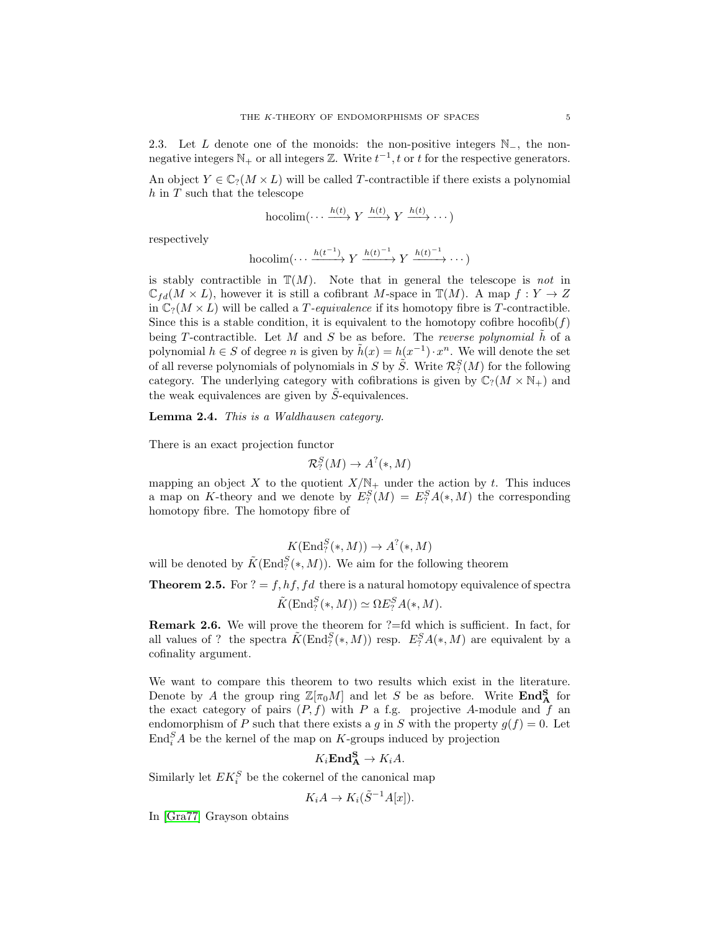2.3. Let L denote one of the monoids: the non-positive integers  $\mathbb{N}_-$ , the nonnegative integers  $\mathbb{N}_+$  or all integers  $\mathbb{Z}$ . Write  $t^{-1}$ , t or t for the respective generators.

An object  $Y \in \mathbb{C}_7(M \times L)$  will be called T-contractible if there exists a polynomial  $h$  in  $T$  such that the telescope

$$
\operatorname{hocolim}(\cdots \xrightarrow{h(t)} Y \xrightarrow{h(t)} Y \xrightarrow{h(t)} \cdots)
$$

respectively

hocolim
$$
(\cdots \xrightarrow{h(t^{-1})} Y \xrightarrow{h(t)^{-1}} Y \xrightarrow{h(t)^{-1}} \cdots)
$$

is stably contractible in  $\mathbb{T}(M)$ . Note that in general the telescope is not in  $\mathbb{C}_{fd}(M \times L)$ , however it is still a cofibrant M-space in  $\mathbb{T}(M)$ . A map  $f: Y \to Z$ in  $\mathbb{C}_?(M \times L)$  will be called a *T*-equivalence if its homotopy fibre is *T*-contractible. Since this is a stable condition, it is equivalent to the homotopy cofibre hocofib $(f)$ being T-contractible. Let M and S be as before. The reverse polynomial  $\hat{h}$  of a polynomial  $h \in S$  of degree n is given by  $\tilde{h}(x) = h(x^{-1}) \cdot x^n$ . We will denote the set of all reverse polynomials of polynomials in S by  $\tilde{S}$ . Write  $\mathcal{R}_?^S(M)$  for the following category. The underlying category with cofibrations is given by  $\mathbb{C}_?(M \times \mathbb{N}_+)$  and the weak equivalences are given by  $\tilde{S}$ -equivalences.

Lemma 2.4. This is a Waldhausen category.

There is an exact projection functor

$$
\mathcal{R}_?^S(M) \to A^?(*,M)
$$

mapping an object X to the quotient  $X/N_+$  under the action by t. This induces a map on K-theory and we denote by  $E_?^S(M) = E_?^S(A(*, M)$  the corresponding homotopy fibre. The homotopy fibre of

$$
K(\operatorname{End}_?^S(*,M)) \to A^?(*,M)
$$

will be denoted by  $\tilde{K}(\text{End}_?^S(*, M))$ . We aim for the following theorem

<span id="page-4-0"></span>**Theorem 2.5.** For  $? = f, hf, fd$  there is a natural homotopy equivalence of spectra  $\tilde{K}(\text{End}_{?}^{S}(*,M)) \simeq \Omega E_{?}^{S}A(*,M).$ 

**Remark 2.6.** We will prove the theorem for  $? = fd$  which is sufficient. In fact, for all values of ? the spectra  $\tilde{K}(\text{End}_?^S(*, M))$  resp.  $E_?^S A(*, M)$  are equivalent by a cofinality argument.

We want to compare this theorem to two results which exist in the literature. Denote by A the group ring  $\mathbb{Z}[\pi_0 M]$  and let S be as before. Write  $\text{End}_{\bf A}^{\bf S}$  for the exact category of pairs  $(P, f)$  with P a f.g. projective A-module and f an endomorphism of P such that there exists a g in S with the property  $g(f) = 0$ . Let  $\text{End}_{i}^{S} A$  be the kernel of the map on K-groups induced by projection

$$
K_i \mathbf{End}^{\mathbf{S}}_{\mathbf{A}} \to K_i A.
$$

Similarly let  $EK_i^S$  be the cokernel of the canonical map

$$
K_i A \to K_i(\tilde{S}^{-1}A[x]).
$$

In [\[Gra77\]](#page-13-1) Grayson obtains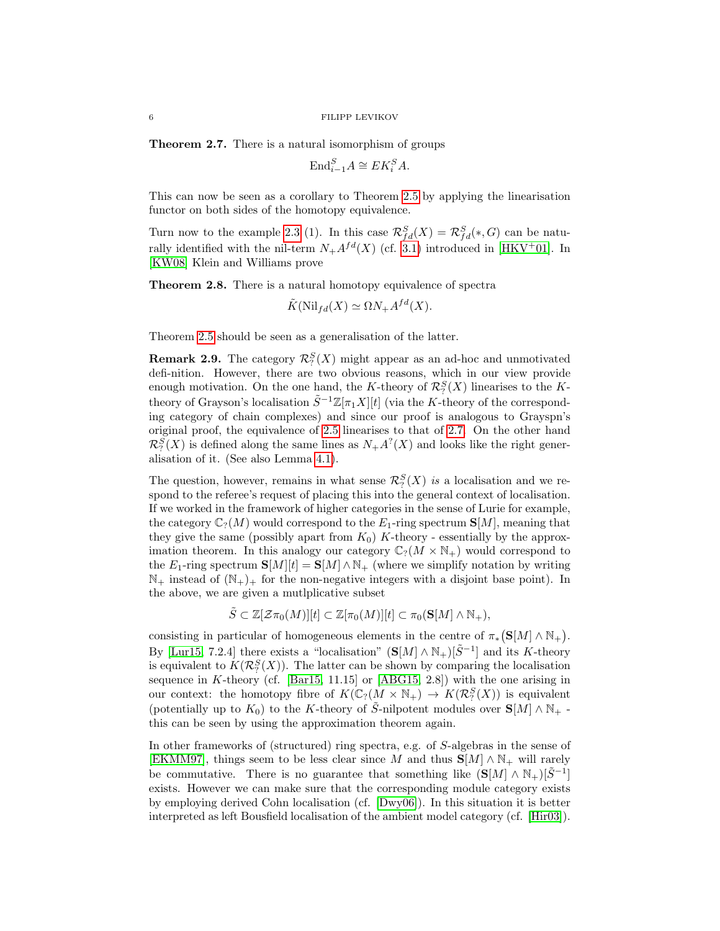<span id="page-5-0"></span>Theorem 2.7. There is a natural isomorphism of groups

$$
\text{End}_{i-1}^S A \cong E K_i^S A.
$$

This can now be seen as a corollary to Theorem [2.5](#page-4-0) by applying the linearisation functor on both sides of the homotopy equivalence.

Turn now to the example [2.3](#page-3-1) (1). In this case  $\mathcal{R}^S_{fd}(X) = \mathcal{R}^S_{fd}(*, G)$  can be naturally identified with the nil-term  $N_+A^{fd}(X)$  (cf. [3.1\)](#page-6-0) introduced in [\[HKV](#page-13-2)<sup>+</sup>01]. In [\[KW08\]](#page-13-3) Klein and Williams prove

<span id="page-5-1"></span>Theorem 2.8. There is a natural homotopy equivalence of spectra

$$
\tilde{K}(\text{Nil}_{fd}(X) \simeq \Omega N_+ A^{fd}(X).
$$

Theorem [2.5](#page-4-0) should be seen as a generalisation of the latter.

**Remark 2.9.** The category  $\mathcal{R}_?^S(X)$  might appear as an ad-hoc and unmotivated defi-nition. However, there are two obvious reasons, which in our view provide enough motivation. On the one hand, the K-theory of  $\mathcal{R}_?^S(X)$  linearises to the Ktheory of Grayson's localisation  $\tilde{S}^{-1}\mathbb{Z}[\pi_1X][t]$  (via the K-theory of the corresponding category of chain complexes) and since our proof is analogous to Grayspn's original proof, the equivalence of [2.5](#page-4-0) linearises to that of [2.7.](#page-5-0) On the other hand  $\mathcal{R}_?^S(X)$  is defined along the same lines as  $N_+A^?(X)$  and looks like the right generalisation of it. (See also Lemma [4.1\)](#page-8-0).

The question, however, remains in what sense  $\mathcal{R}_?^S(X)$  is a localisation and we respond to the referee's request of placing this into the general context of localisation. If we worked in the framework of higher categories in the sense of Lurie for example, the category  $\mathbb{C}_?(M)$  would correspond to the  $E_1$ -ring spectrum  $\mathbf{S}[M]$ , meaning that they give the same (possibly apart from  $K_0$ ) K-theory - essentially by the approximation theorem. In this analogy our category  $\mathbb{C}_?(M \times \mathbb{N}_+)$  would correspond to the E<sub>1</sub>-ring spectrum  $S[M][t] = S[M] \wedge N_{+}$  (where we simplify notation by writing  $\mathbb{N}_+$  instead of  $(\mathbb{N}_+)$  for the non-negative integers with a disjoint base point). In the above, we are given a mutlplicative subset

$$
\tilde{S} \subset \mathbb{Z}[\mathcal{Z}\pi_0(M)][t] \subset \mathbb{Z}[\pi_0(M)][t] \subset \pi_0(\mathbf{S}[M] \wedge \mathbb{N}_+),
$$

consisting in particular of homogeneous elements in the centre of  $\pi_*(\mathbf{S}[M] \wedge \mathbb{N}_+).$ By [\[Lur15,](#page-13-13) 7.2.4] there exists a "localisation"  $(S[M] \wedge N_+)[\tilde{S}^{-1}]$  and its K-theory is equivalent to  $K(\mathcal{R}^S_?X)$ . The latter can be shown by comparing the localisation sequence in K-theory (cf. [\[Bar15,](#page-13-14) 11.15] or  $[ABG15, 2.8]$ ) with the one arising in our context: the homotopy fibre of  $K(\mathbb{C}_?(M \times \mathbb{N}_+) \to K(\mathcal{R}_?^S(X))$  is equivalent (potentially up to  $K_0$ ) to the K-theory of S-nilpotent modules over  $S[M] \wedge N_+$ . this can be seen by using the approximation theorem again.

In other frameworks of (structured) ring spectra, e.g. of S-algebras in the sense of [\[EKMM97\]](#page-13-16), things seem to be less clear since M and thus  $S[M] \wedge N_+$  will rarely be commutative. There is no guarantee that something like  $(S[M] \wedge N_+)[S^{-1}]$ exists. However we can make sure that the corresponding module category exists by employing derived Cohn localisation (cf. [\[Dwy06\]](#page-13-17)). In this situation it is better interpreted as left Bousfield localisation of the ambient model category (cf. [\[Hir03\]](#page-13-18)).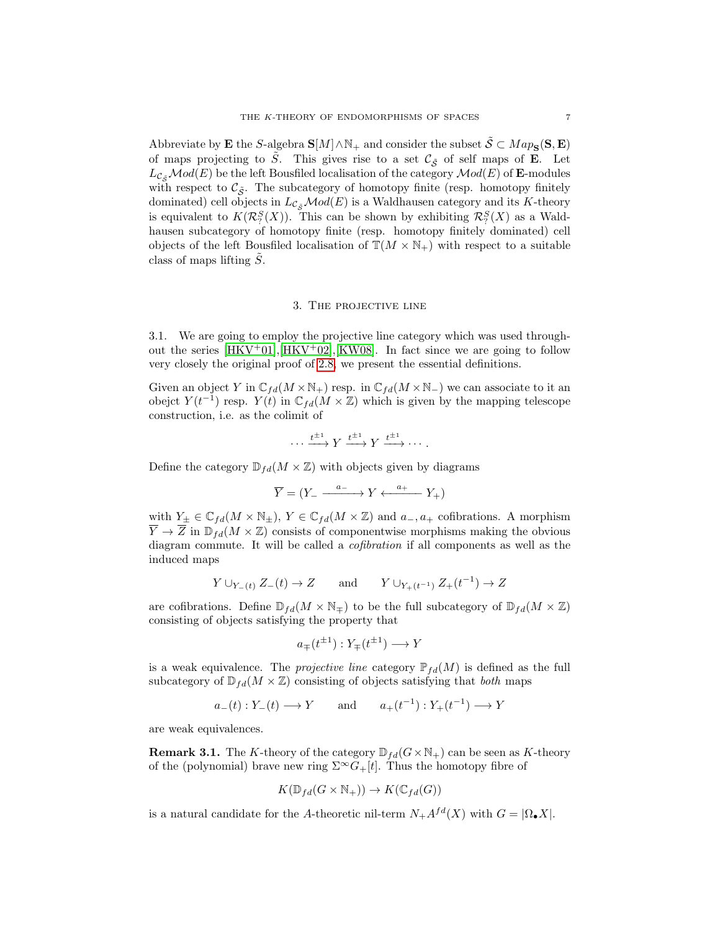Abbreviate by **E** the S-algebra  $S[M] \wedge N_+$  and consider the subset  $S \subset Map_S(S, E)$ of maps projecting to  $\tilde{S}$ . This gives rise to a set  $\mathcal{C}_{\tilde{S}}$  of self maps of **E**. Let  $L_{\mathcal{C}_{\mathcal{S}}} \mathcal{M}od(E)$  be the left Bousfiled localisation of the category  $\mathcal{M}od(E)$  of **E**-modules with respect to  $\mathcal{C}_{\tilde{S}}$ . The subcategory of homotopy finite (resp. homotopy finitely dominated) cell objects in  $L_{\mathcal{C}_{\mathcal{F}}} \mathcal{M}od(E)$  is a Waldhausen category and its K-theory is equivalent to  $K(\mathcal{R}_?^S(X))$ . This can be shown by exhibiting  $\mathcal{R}_?^S(X)$  as a Waldhausen subcategory of homotopy finite (resp. homotopy finitely dominated) cell objects of the left Bousfiled localisation of  $T(M \times N_+)$  with respect to a suitable class of maps lifting  $\tilde{S}$ .

## 3. The projective line

3.1. We are going to employ the projective line category which was used throughout the series  $[HKV^+01], [HKV^+02], [KWO8].$  $[HKV^+01], [HKV^+02], [KWO8].$  $[HKV^+01], [HKV^+02], [KWO8].$  In fact since we are going to follow very closely the original proof of [2.8,](#page-5-1) we present the essential definitions.

Given an object Y in  $\mathbb{C}_{fd}(M\times\mathbb{N}_+)$  resp. in  $\mathbb{C}_{fd}(M\times\mathbb{N}_-)$  we can associate to it an obejct  $Y(t^{-1})$  resp.  $Y(t)$  in  $\mathbb{C}_{fd}(M \times \mathbb{Z})$  which is given by the mapping telescope construction, i.e. as the colimit of

$$
\cdots \xrightarrow{t^{\pm 1}} Y \xrightarrow{t^{\pm 1}} Y \xrightarrow{t^{\pm 1}} \cdots.
$$

Define the category  $\mathbb{D}_{fd}(M \times \mathbb{Z})$  with objects given by diagrams

$$
\overline{Y} = (Y_- \xrightarrow{a_-} Y \xleftarrow{a_+} Y_+)
$$

with  $Y_{\pm} \in \mathbb{C}_{fd}(M \times \mathbb{N}_{\pm}), Y \in \mathbb{C}_{fd}(M \times \mathbb{Z})$  and  $a_-, a_+$  cofibrations. A morphism  $\overline{Y} \to \overline{Z}$  in  $\mathbb{D}_{fd}(M \times \mathbb{Z})$  consists of componentwise morphisms making the obvious diagram commute. It will be called a cofibration if all components as well as the induced maps

$$
Y \cup_{Y_{-}(t)} Z_{-}(t) \to Z
$$
 and  $Y \cup_{Y_{+}(t^{-1})} Z_{+}(t^{-1}) \to Z$ 

are cofibrations. Define  $\mathbb{D}_{fd}(M \times \mathbb{N}_{\mp})$  to be the full subcategory of  $\mathbb{D}_{fd}(M \times \mathbb{Z})$ consisting of objects satisfying the property that

$$
a_{\mp}(t^{\pm 1}): Y_{\mp}(t^{\pm 1}) \longrightarrow Y
$$

is a weak equivalence. The *projective line* category  $\mathbb{P}_{fd}(M)$  is defined as the full subcategory of  $\mathbb{D}_{fd}(M \times \mathbb{Z})$  consisting of objects satisfying that both maps

$$
a_{-}(t): Y_{-}(t) \longrightarrow Y
$$
 and  $a_{+}(t^{-1}): Y_{+}(t^{-1}) \longrightarrow Y$ 

are weak equivalences.

<span id="page-6-0"></span>**Remark 3.1.** The K-theory of the category  $\mathbb{D}_{fd}(G\times\mathbb{N}_+)$  can be seen as K-theory of the (polynomial) brave new ring  $\Sigma^{\infty}G_{+}[t]$ . Thus the homotopy fibre of

$$
K(\mathbb{D}_{fd}(G \times \mathbb{N}_+)) \to K(\mathbb{C}_{fd}(G))
$$

is a natural candidate for the A-theoretic nil-term  $N_+A^{fd}(X)$  with  $G = |\Omega_{\bullet} X|$ .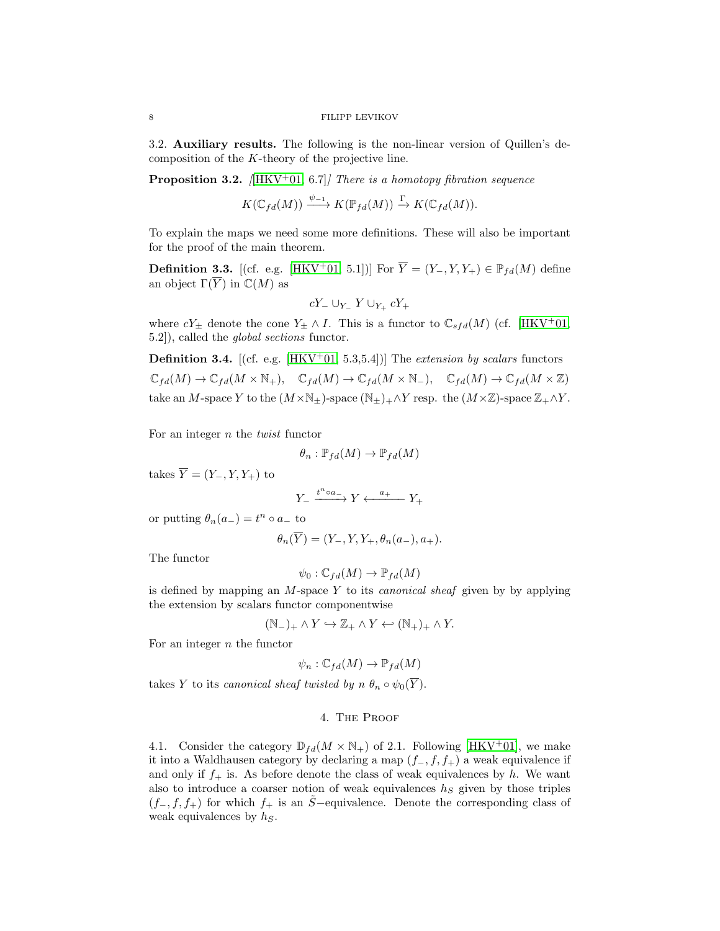3.2. Auxiliary results. The following is the non-linear version of Quillen's decomposition of the K-theory of the projective line.

<span id="page-7-0"></span>**Proposition 3.2.** [\[HKV](#page-13-2)<sup>+</sup>01, 6.7]] There is a homotopy fibration sequence

 $K(\mathbb{C}_{fd}(M)) \xrightarrow{\psi_{-1}} K(\mathbb{P}_{fd}(M)) \xrightarrow{\Gamma} K(\mathbb{C}_{fd}(M)).$ 

To explain the maps we need some more definitions. These will also be important for the proof of the main theorem.

**Definition 3.3.** [(cf. e.g. [\[HKV](#page-13-2)<sup>+</sup>01, 5.1])] For  $\overline{Y} = (Y_-, Y, Y_+) \in \mathbb{P}_{fd}(M)$  define an object  $\Gamma(\overline{Y})$  in  $\mathbb{C}(M)$  as

$$
cY_-\cup_{Y_-} Y\cup_{Y_+} cY_+
$$

where  $cY_{\pm}$  denote the cone  $Y_{\pm} \wedge I$ . This is a functor to  $\mathbb{C}_{sfd}(M)$  (cf. [\[HKV](#page-13-2)<sup>+</sup>01, 5.2]), called the global sections functor.

**Definition 3.4.** [(cf. e.g. [\[HKV](#page-13-2)<sup>+</sup>01, 5.3,5.4])] The extension by scalars functors  $\mathbb{C}_{fd}(M) \to \mathbb{C}_{fd}(M \times \mathbb{N}_+), \quad \mathbb{C}_{fd}(M) \to \mathbb{C}_{fd}(M \times \mathbb{N}_-), \quad \mathbb{C}_{fd}(M) \to \mathbb{C}_{fd}(M \times \mathbb{Z})$ take an M-space Y to the  $(M \times N_{\pm})$ -space  $(N_{\pm})_+ \wedge Y$  resp. the  $(M \times \mathbb{Z})$ -space  $\mathbb{Z}_+ \wedge Y$ .

For an integer  $n$  the *twist* functor

$$
\theta_n : \mathbb{P}_{fd}(M) \to \mathbb{P}_{fd}(M)
$$

takes  $\overline{Y} = (Y_-, Y, Y_+)$  to

$$
Y_-\xrightarrow{t^n\circ a_-} Y \xleftarrow{a_+} Y_+
$$

or putting  $\theta_n(a_-) = t^n \circ a_-$  to

$$
\theta_n(\overline{Y}) = (Y_-, Y, Y_+, \theta_n(a_-), a_+).
$$

The functor

$$
\psi_0 : \mathbb{C}_{fd}(M) \to \mathbb{P}_{fd}(M)
$$

is defined by mapping an  $M$ -space  $Y$  to its *canonical sheaf* given by by applying the extension by scalars functor componentwise

$$
(\mathbb{N}_{-})_{+}\wedge Y\hookrightarrow \mathbb{Z}_{+}\wedge Y\hookleftarrow (\mathbb{N}_{+})_{+}\wedge Y.
$$

For an integer  $n$  the functor

$$
\psi_n : \mathbb{C}_{fd}(M) \to \mathbb{P}_{fd}(M)
$$

takes Y to its canonical sheaf twisted by  $n \theta_n \circ \psi_0(\overline{Y})$ .

# 4. The Proof

4.1. Consider the category  $\mathbb{D}_{fd}(M \times \mathbb{N}_+)$  of 2.1. Following [\[HKV](#page-13-2)+01], we make it into a Waldhausen category by declaring a map  $(f_-, f, f_+)$  a weak equivalence if and only if  $f_+$  is. As before denote the class of weak equivalences by h. We want also to introduce a coarser notion of weak equivalences  $h<sub>S</sub>$  given by those triples  $(f_-, f, f_+)$  for which  $f_+$  is an  $\tilde{S}$ −equivalence. Denote the corresponding class of weak equivalences by  $h<sub>S</sub>$ .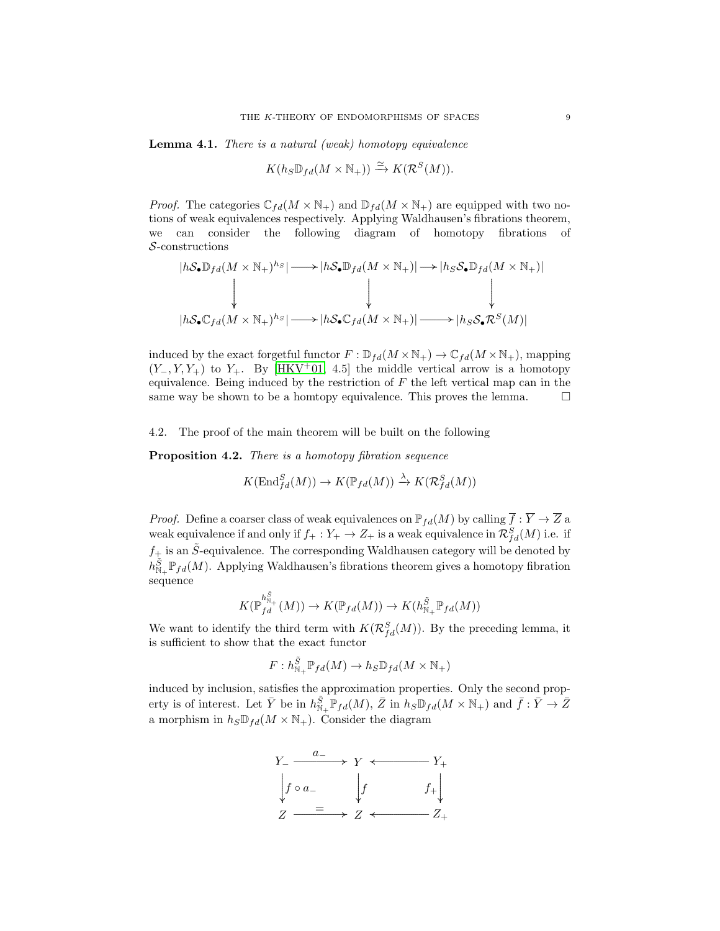<span id="page-8-0"></span>Lemma 4.1. There is a natural (weak) homotopy equivalence

$$
K(h_S \mathbb{D}_{fd}(M \times \mathbb{N}_+)) \xrightarrow{\simeq} K(\mathcal{R}^S(M)).
$$

*Proof.* The categories  $\mathbb{C}_{fd}(M \times \mathbb{N}_+)$  and  $\mathbb{D}_{fd}(M \times \mathbb{N}_+)$  are equipped with two notions of weak equivalences respectively. Applying Waldhausen's fibrations theorem, we can consider the following diagram of homotopy fibrations of S-constructions

$$
|h\mathcal{S}_{\bullet} \mathbb{D}_{fd}(M \times \mathbb{N}_{+})^{h_{S}}| \longrightarrow |h\mathcal{S}_{\bullet} \mathbb{D}_{fd}(M \times \mathbb{N}_{+})| \longrightarrow |h_{S}\mathcal{S}_{\bullet} \mathbb{D}_{fd}(M \times \mathbb{N}_{+})|
$$
  
\n
$$
\downarrow \qquad \qquad \downarrow \qquad \qquad \downarrow \qquad \qquad \downarrow
$$
  
\n
$$
|h\mathcal{S}_{\bullet} \mathbb{C}_{fd}(M \times \mathbb{N}_{+})^{h_{S}}| \longrightarrow |h\mathcal{S}_{\bullet} \mathbb{C}_{fd}(M \times \mathbb{N}_{+})| \longrightarrow |h_{S}\mathcal{S}_{\bullet} \mathcal{R}^{S}(M)|
$$

induced by the exact forgetful functor  $F : \mathbb{D}_{fd}(M \times \mathbb{N}_+) \to \mathbb{C}_{fd}(M \times \mathbb{N}_+)$ , mapping  $(Y_-, Y, Y_+)$  to  $Y_+$ . By [\[HKV](#page-13-2)<sup>+</sup>01, 4.5] the middle vertical arrow is a homotopy equivalence. Being induced by the restriction of  $F$  the left vertical map can in the same way be shown to be a homtopy equivalence. This proves the lemma.  $\Box$ 

### 4.2. The proof of the main theorem will be built on the following

<span id="page-8-1"></span>Proposition 4.2. There is a homotopy fibration sequence

$$
K(\operatorname{End}^S_{fd}(M)) \to K(\mathbb{P}_{fd}(M)) \xrightarrow{\lambda} K(\mathcal{R}^S_{fd}(M))
$$

*Proof.* Define a coarser class of weak equivalences on  $\mathbb{P}_{fd}(M)$  by calling  $\overline{f} : \overline{Y} \to \overline{Z}$  a weak equivalence if and only if  $f_+ : Y_+ \to Z_+$  is a weak equivalence in  $\mathcal{R}^S_{fd}(M)$  i.e. if  $f_+$  is an  $\tilde{S}$ -equivalence. The corresponding Waldhausen category will be denoted by  $h^{\tilde{S}}_{\mathbb{N}_+} \mathbb{P}_{fd}(M)$ . Applying Waldhausen's fibrations theorem gives a homotopy fibration sequence

$$
K(\mathbb{P}_{fd}^{h_{\mathbb{N}_+}^{\tilde{S}}}(M))\to K(\mathbb{P}_{fd}(M))\to K(h_{\mathbb{N}_+}^{\tilde{S}}\mathbb{P}_{fd}(M))
$$

We want to identify the third term with  $K(\mathcal{R}^S_{fd}(M))$ . By the preceding lemma, it is sufficient to show that the exact functor

$$
F: h^{\tilde{S}}_{\mathbb{N}_+} \mathbb{P}_{fd}(M) \to h_S \mathbb{D}_{fd}(M \times \mathbb{N}_+)
$$

induced by inclusion, satisfies the approximation properties. Only the second property is of interest. Let  $\bar{Y}$  be in  $h_{\mathbb{N}_+}^{\tilde{S}} \mathbb{P}_{fd}(M)$ ,  $\bar{Z}$  in  $h_S \mathbb{D}_{fd}(M \times \mathbb{N}_+)$  and  $\bar{f}: \bar{Y} \to \bar{Z}$ a morphism in  $h_S \mathbb{D}_{fd}(M \times \mathbb{N}_+)$ . Consider the diagram

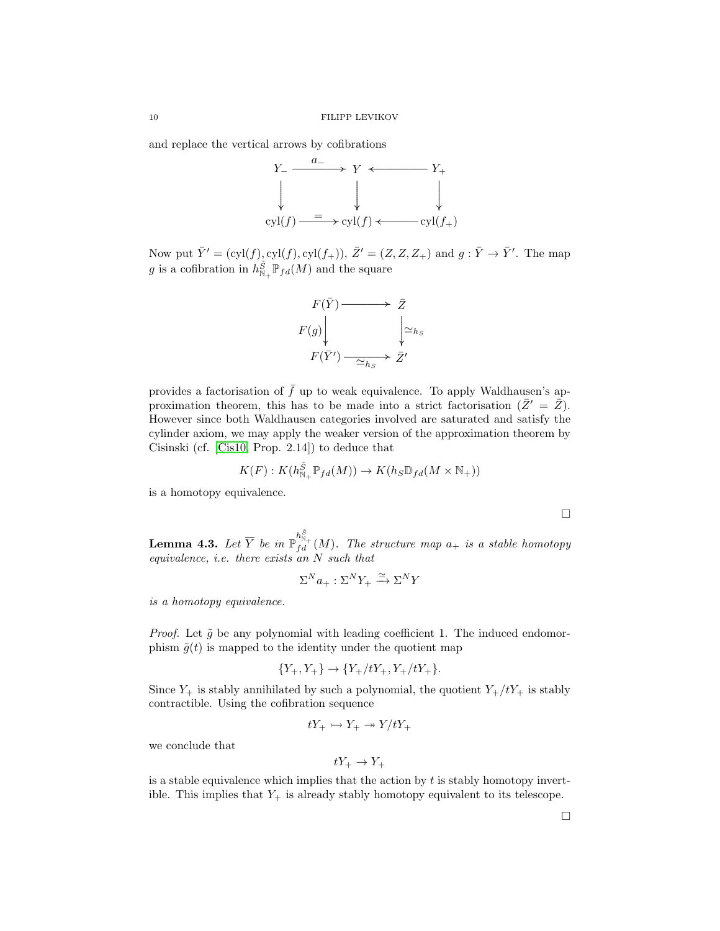and replace the vertical arrows by cofibrations



Now put  $\bar{Y}' = (cyl(f), cyl(f), cyl(f_+)), \bar{Z}' = (Z, Z, Z_+)$  and  $g : \bar{Y} \to \bar{Y}'$ . The map g is a cofibration in  $h^{\tilde{S}}_{\mathbb{N}_+} \mathbb{P}_{fd}(M)$  and the square



provides a factorisation of  $\bar{f}$  up to weak equivalence. To apply Waldhausen's approximation theorem, this has to be made into a strict factorisation  $(\bar{Z}' = \bar{Z})$ . However since both Waldhausen categories involved are saturated and satisfy the cylinder axiom, we may apply the weaker version of the approximation theorem by Cisinski (cf. [\[Cis10,](#page-13-19) Prop. 2.14]) to deduce that

$$
K(F): K(h^{\tilde{S}}_{\mathbb{N}_+} \mathbb{P}_{fd}(M)) \to K(h_S \mathbb{D}_{fd}(M \times \mathbb{N}_+))
$$

is a homotopy equivalence.

<span id="page-9-0"></span>**Lemma 4.3.** Let  $\overline{Y}$  be in  $\mathbb{P}_{fd}^{h^{\overline{S}}_{\eta_1}}(M)$ . The structure map  $a_+$  is a stable homotopy equivalence, i.e. there exists an N such that

$$
\Sigma^N a_+ : \Sigma^N Y_+ \xrightarrow{\simeq} \Sigma^N Y
$$

is a homotopy equivalence.

*Proof.* Let  $\tilde{g}$  be any polynomial with leading coefficient 1. The induced endomorphism  $\tilde{q}(t)$  is mapped to the identity under the quotient map

$$
\{Y_+, Y_+\} \to \{Y_+/tY_+, Y_+/tY_+\}.
$$

Since  $Y_+$  is stably annihilated by such a polynomial, the quotient  $Y_+/tY_+$  is stably contractible. Using the cofibration sequence

$$
tY_+ \rightarrowtail Y_+ \rightarrow Y/tY_+
$$

we conclude that

$$
tY_+ \to Y_+
$$

is a stable equivalence which implies that the action by  $t$  is stably homotopy invertible. This implies that  $Y_+$  is already stably homotopy equivalent to its telescope.

 $\Box$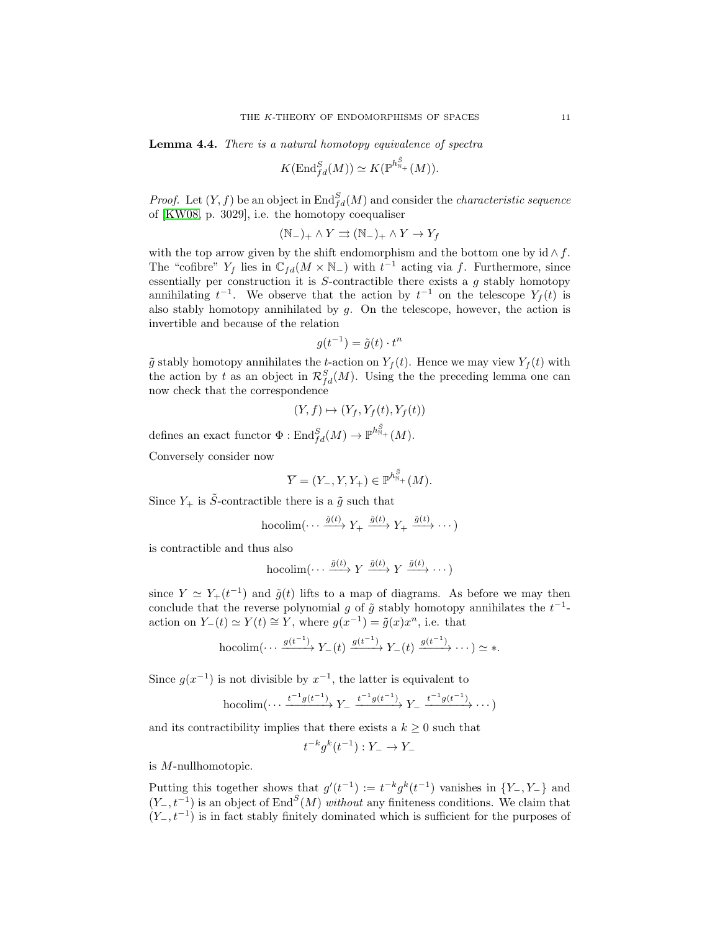<span id="page-10-0"></span>Lemma 4.4. There is a natural homotopy equivalence of spectra

$$
K(\operatorname{End}\nolimits_{fd}^S(M)) \simeq K(\operatorname{\mathbb{P}}^{h^{\tilde{S}}_{\mathbb{N}_+}}(M)).
$$

*Proof.* Let  $(Y, f)$  be an object in  $\text{End}_{fd}^S(M)$  and consider the *characteristic sequence* of [\[KW08,](#page-13-3) p. 3029], i.e. the homotopy coequaliser

$$
(\mathbb{N}_{-})_{+}\wedge Y \rightrightarrows (\mathbb{N}_{-})_{+}\wedge Y \to Y_{f}
$$

with the top arrow given by the shift endomorphism and the bottom one by  $id \wedge f$ . The "cofibre"  $Y_f$  lies in  $\mathbb{C}_{fd}(M \times \mathbb{N}_-)$  with  $t^{-1}$  acting via f. Furthermore, since essentially per construction it is  $S$ -contractible there exists a  $g$  stably homotopy annihilating  $t^{-1}$ . We observe that the action by  $t^{-1}$  on the telescope  $Y_f(t)$  is also stably homotopy annihilated by  $g$ . On the telescope, however, the action is invertible and because of the relation

$$
g(t^{-1}) = \tilde{g}(t) \cdot t^n
$$

 $\tilde{g}$  stably homotopy annihilates the t-action on  $Y_f(t)$ . Hence we may view  $Y_f(t)$  with the action by t as an object in  $\mathcal{R}^S_{fd}(M)$ . Using the the preceding lemma one can now check that the correspondence

$$
(Y, f) \mapsto (Y_f, Y_f(t), Y_f(t))
$$

defines an exact functor  $\Phi: \text{End}_{fd}^S(M) \to \mathbb{P}^{h_{\mathbb{N}_+}^{\tilde{S}}}(M).$ 

Conversely consider now

$$
\overline{Y} = (Y_-, Y, Y_+) \in \mathbb{P}^{h_{\mathbb{N}_+}^{\tilde{S}}} (M).
$$

Since  $Y_+$  is  $\tilde{S}$ -contractible there is a  $\tilde{g}$  such that

hocolim
$$
(\cdots \frac{\tilde{g}(t)}{T} Y_+ \frac{\tilde{g}(t)}{T} Y_+ \frac{\tilde{g}(t)}{T} \cdots)
$$

is contractible and thus also

$$
\operatorname{hocolim}(\cdots \xrightarrow{\tilde{g}(t)} Y \xrightarrow{\tilde{g}(t)} Y \xrightarrow{\tilde{g}(t)} \cdots)
$$

since  $Y \simeq Y_+(t^{-1})$  and  $\tilde{g}(t)$  lifts to a map of diagrams. As before we may then conclude that the reverse polynomial g of  $\tilde{g}$  stably homotopy annihilates the  $t^{-1}$ action on  $Y_-(t) \simeq Y(t) \cong Y$ , where  $g(x^{-1}) = \tilde{g}(x)x^n$ , i.e. that

hocolim
$$
(\cdots \xrightarrow{g(t^{-1})} Y_{-}(t) \xrightarrow{g(t^{-1})} Y_{-}(t) \xrightarrow{g(t^{-1})} \cdots) \simeq \ast.
$$

Since  $g(x^{-1})$  is not divisible by  $x^{-1}$ , the latter is equivalent to

hocolim
$$
(\cdots \xrightarrow{t^{-1}g(t^{-1})} Y_- \xrightarrow{t^{-1}g(t^{-1})} Y_- \xrightarrow{t^{-1}g(t^{-1})} \cdots)
$$

and its contractibility implies that there exists a  $k \geq 0$  such that

t

$$
^{-k}g^k(t^{-1}):Y_-\to Y_-
$$

is M-nullhomotopic.

Putting this together shows that  $g'(t^{-1}) := t^{-k} g^k(t^{-1})$  vanishes in  $\{Y_-, Y_-\}$  and  $(Y_-, t^{-1})$  is an object of End<sup>S</sup> $(M)$  without any finiteness conditions. We claim that  $(Y_-, t^{-1})$  is in fact stably finitely dominated which is sufficient for the purposes of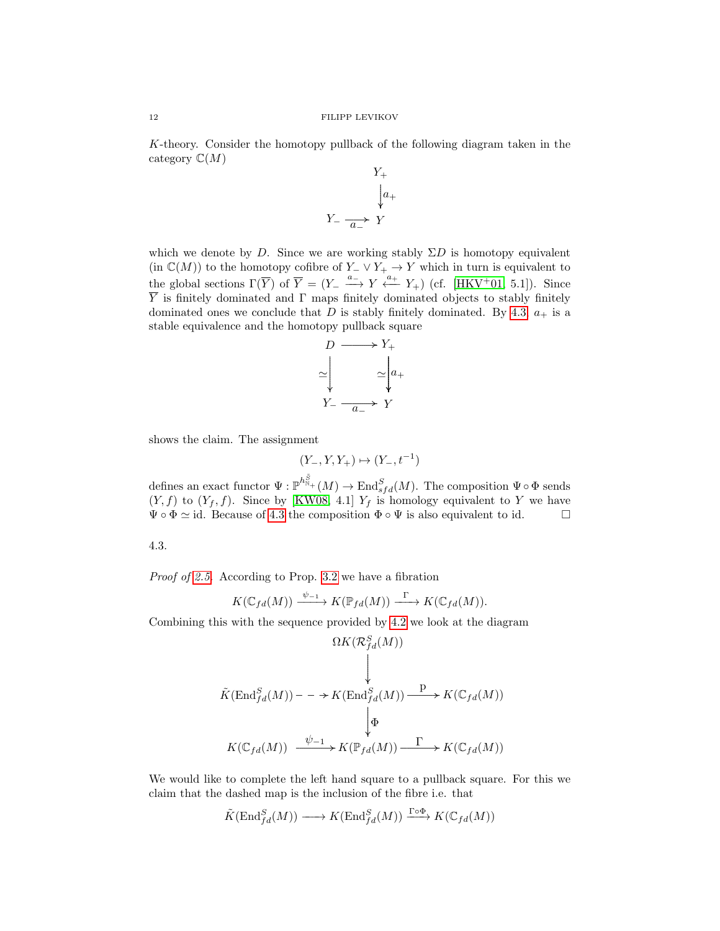K-theory. Consider the homotopy pullback of the following diagram taken in the category  $\mathbb{C}(M)$  $\ddot{\phantom{1}}$ 

$$
Y_{+}
$$
\n
$$
\downarrow a_{+}
$$
\n
$$
Y_{-}
$$
\n
$$
Y_{-}
$$
\n
$$
Y
$$
\n
$$
Y
$$

which we denote by D. Since we are working stably  $\Sigma D$  is homotopy equivalent (in  $\mathbb{C}(M)$ ) to the homotopy cofibre of  $Y_-\vee Y_+\to Y$  which in turn is equivalent to the global sections  $\Gamma(\overline{Y})$  of  $\overline{Y} = (Y_- \xrightarrow{a_-} Y \xleftarrow{a_+} Y_+)$  (cf. [\[HKV](#page-13-2)<sup>+</sup>01, 5.1]). Since  $\overline{Y}$  is finitely dominated and  $\Gamma$  maps finitely dominated objects to stably finitely dominated ones we conclude that D is stably finitely dominated. By [4.3,](#page-9-0)  $a_+$  is a stable equivalence and the homotopy pullback square



shows the claim. The assignment

$$
(Y_-, Y, Y_+) \mapsto (Y_-, t^{-1})
$$

defines an exact functor  $\Psi: \mathbb{P}^{h_{\mathbb{N}+}^{\tilde{S}}}(M) \to \text{End}_{sfd}^S(M)$ . The composition  $\Psi \circ \Phi$  sends  $(Y, f)$  to  $(Y_f, f)$ . Since by [\[KW08,](#page-13-3) 4.1]  $Y_f$  is homology equivalent to Y we have  $\Psi \circ \Phi \simeq id$ . Because of [4.3](#page-9-0) the composition  $\Phi \circ \Psi$  is also equivalent to id.

$$
4.3.
$$

Proof of [2.5.](#page-4-0) According to Prop. [3.2](#page-7-0) we have a fibration

$$
K(\mathbb{C}_{fd}(M)) \xrightarrow{\psi_{-1}} K(\mathbb{P}_{fd}(M)) \xrightarrow{\Gamma} K(\mathbb{C}_{fd}(M)).
$$

Combining this with the sequence provided by [4.2](#page-8-1) we look at the diagram

$$
\begin{array}{c}\n\Omega K(\mathcal{R}^S_{fd}(M)) \\
\downarrow \\
\tilde{K}(\operatorname{End}^S_{fd}(M)) \ - \ - \ \to K(\operatorname{End}^S_{fd}(M)) \xrightarrow{\quad \mathbf{P} \ \ } K(\mathbb{C}_{fd}(M)) \\
\downarrow \Phi \\
K(\mathbb{C}_{fd}(M)) \ \xrightarrow{\psi_{-1}} K(\mathbb{P}_{fd}(M)) \xrightarrow{\quad \Gamma \ \ } K(\mathbb{C}_{fd}(M))\n\end{array}
$$

We would like to complete the left hand square to a pullback square. For this we claim that the dashed map is the inclusion of the fibre i.e. that

$$
\tilde{K}(\text{End}_{fd}^S(M)) \longrightarrow K(\text{End}_{fd}^S(M)) \xrightarrow{\Gamma \circ \Phi} K(\mathbb{C}_{fd}(M))
$$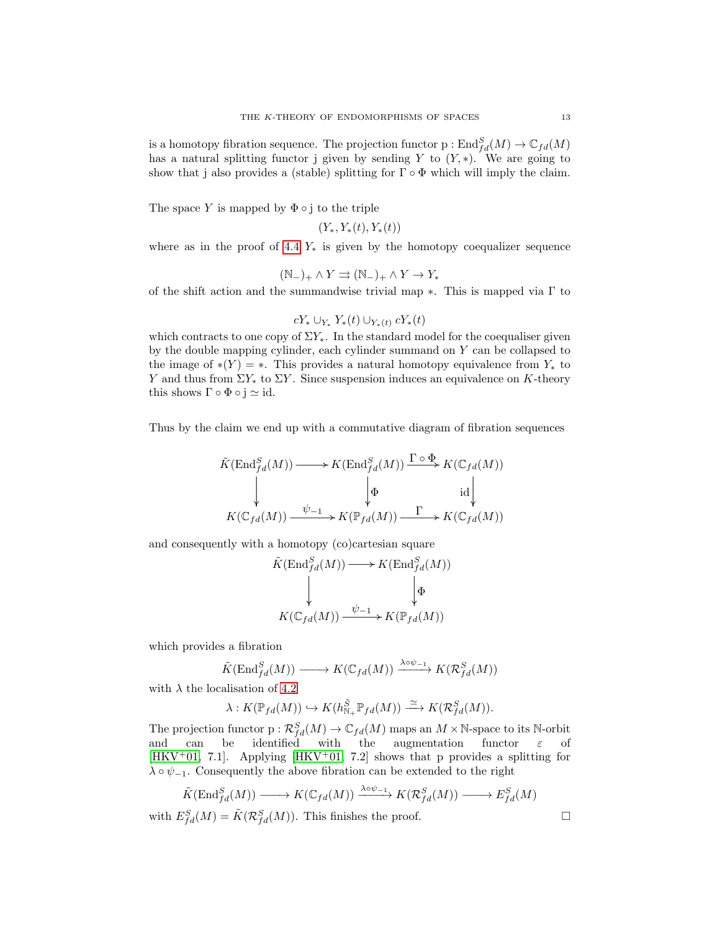is a homotopy fibration sequence. The projection functor  $p: \text{End}_{fd}^S(M) \to \mathbb{C}_{fd}(M)$ has a natural splitting functor j given by sending Y to  $(Y, *)$ . We are going to show that j also provides a (stable) splitting for  $\Gamma \circ \Phi$  which will imply the claim.

The space Y is mapped by  $\Phi \circ i$  to the triple

$$
(Y_*, Y_*(t), Y_*(t))
$$

where as in the proof of [4.4](#page-10-0)  $Y_*$  is given by the homotopy coequalizer sequence

$$
(\mathbb{N}_{-})_{+}\wedge Y \rightrightarrows (\mathbb{N}_{-})_{+}\wedge Y \to Y_{*}
$$

of the shift action and the summandwise trivial map  $*$ . This is mapped via  $\Gamma$  to

$$
cY_* \cup_{Y_*} Y_*(t) \cup_{Y_*(t)} cY_*(t)
$$

which contracts to one copy of  $\Sigma Y_*$ . In the standard model for the coequaliser given by the double mapping cylinder, each cylinder summand on  $Y$  can be collapsed to the image of  $*(Y) = *$ . This provides a natural homotopy equivalence from  $Y_*$  to Y and thus from  $\Sigma Y_*$  to  $\Sigma Y$ . Since suspension induces an equivalence on K-theory this shows  $\Gamma \circ \Phi \circ j \simeq id$ .

Thus by the claim we end up with a commutative diagram of fibration sequences

$$
\tilde{K}(\mathrm{End}_{fd}^S(M)) \xrightarrow{\hspace*{1cm}} K(\mathrm{End}_{fd}^S(M)) \xrightarrow{\Gamma \circ \Phi} K(\mathbb{C}_{fd}(M))
$$
\n
$$
\downarrow \qquad \qquad \downarrow \qquad \qquad \downarrow \qquad \qquad \downarrow \qquad \qquad \downarrow
$$
\n
$$
K(\mathbb{C}_{fd}(M)) \xrightarrow{\psi_{-1}} K(\mathbb{P}_{fd}(M)) \xrightarrow{\Gamma} K(\mathbb{C}_{fd}(M))
$$

and consequently with a homotopy (co)cartesian square

$$
\tilde{K}(\text{End}_{fd}^S(M)) \longrightarrow K(\text{End}_{fd}^S(M))
$$
\n
$$
\downarrow \qquad \qquad \downarrow \Phi
$$
\n
$$
K(\mathbb{C}_{fd}(M)) \xrightarrow{\psi_{-1}} K(\mathbb{P}_{fd}(M))
$$

which provides a fibration

$$
\tilde{K}(\text{End}_{fd}^S(M)) \longrightarrow K(\mathbb{C}_{fd}(M)) \xrightarrow{\lambda \circ \psi_{-1}} K(\mathcal{R}_{fd}^S(M))
$$

with  $\lambda$  the localisation of [4.2](#page-8-1)

$$
\lambda: K(\mathbb{P}_{fd}(M)) \hookrightarrow K(h_{\mathbb{N}_+}^{\tilde{S}} \mathbb{P}_{fd}(M)) \xrightarrow{\simeq} K(\mathcal{R}_{fd}^S(M)).
$$

The projection functor  $p: \mathcal{R}_{fd}^S(M) \to \mathbb{C}_{fd}(M)$  maps an  $M \times \mathbb{N}$ -space to its N-orbit and can be identified with the augmentation functor  $\varepsilon$  of [\[HKV](#page-13-2)<sup>+</sup>01, 7.1]. Applying [\[HKV](#page-13-2)<sup>+</sup>01, 7.2] shows that p provides a splitting for  $\lambda \circ \psi_{-1}$ . Consequently the above fibration can be extended to the right

$$
\tilde{K}(\text{End}_{fd}^{S}(M)) \longrightarrow K(\mathbb{C}_{fd}(M)) \xrightarrow{\lambda \circ \psi_{-1}} K(\mathcal{R}_{fd}^{S}(M)) \longrightarrow E_{fd}^{S}(M)
$$
\nwith  $E_{fd}^{S}(M) = \tilde{K}(\mathcal{R}_{fd}^{S}(M))$ . This finishes the proof.